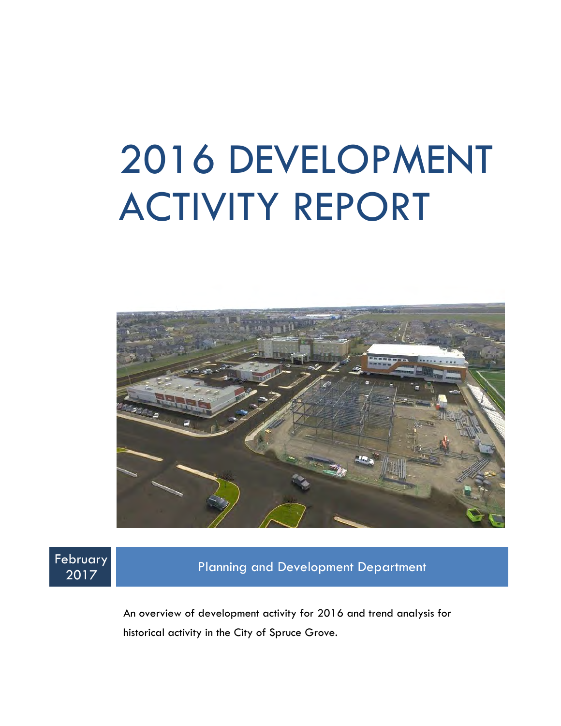# 2016 DEVELOPMENT ACTIVITY REPORT





<sup>2017</sup> Planning and Development Department

An overview of development activity for 2016 and trend analysis for historical activity in the City of Spruce Grove.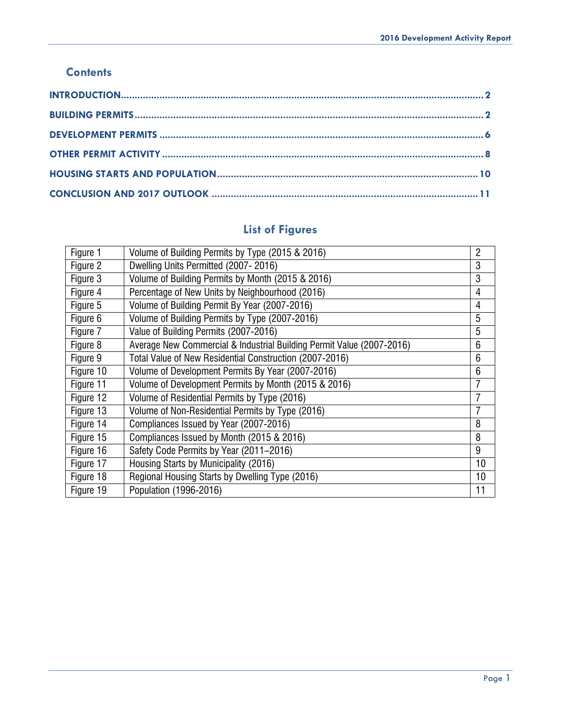#### **Contents**

## **List of Figures**

<span id="page-1-0"></span>

| Figure 1  | Volume of Building Permits by Type (2015 & 2016)                      | $\overline{2}$ |
|-----------|-----------------------------------------------------------------------|----------------|
| Figure 2  | Dwelling Units Permitted (2007-2016)                                  | 3              |
| Figure 3  | Volume of Building Permits by Month (2015 & 2016)                     | 3              |
| Figure 4  | Percentage of New Units by Neighbourhood (2016)                       | 4              |
| Figure 5  | Volume of Building Permit By Year (2007-2016)                         | 4              |
| Figure 6  | Volume of Building Permits by Type (2007-2016)                        | 5              |
| Figure 7  | Value of Building Permits (2007-2016)                                 | 5              |
| Figure 8  | Average New Commercial & Industrial Building Permit Value (2007-2016) | 6              |
| Figure 9  | Total Value of New Residential Construction (2007-2016)               | 6              |
| Figure 10 | Volume of Development Permits By Year (2007-2016)                     | 6              |
| Figure 11 | Volume of Development Permits by Month (2015 & 2016)                  |                |
| Figure 12 | Volume of Residential Permits by Type (2016)                          |                |
| Figure 13 | Volume of Non-Residential Permits by Type (2016)                      | 7              |
| Figure 14 | Compliances Issued by Year (2007-2016)                                | 8              |
| Figure 15 | Compliances Issued by Month (2015 & 2016)                             | 8              |
| Figure 16 | Safety Code Permits by Year (2011-2016)                               | 9              |
| Figure 17 | Housing Starts by Municipality (2016)                                 | 10             |
| Figure 18 | Regional Housing Starts by Dwelling Type (2016)                       | 10             |
| Figure 19 | Population (1996-2016)                                                | 11             |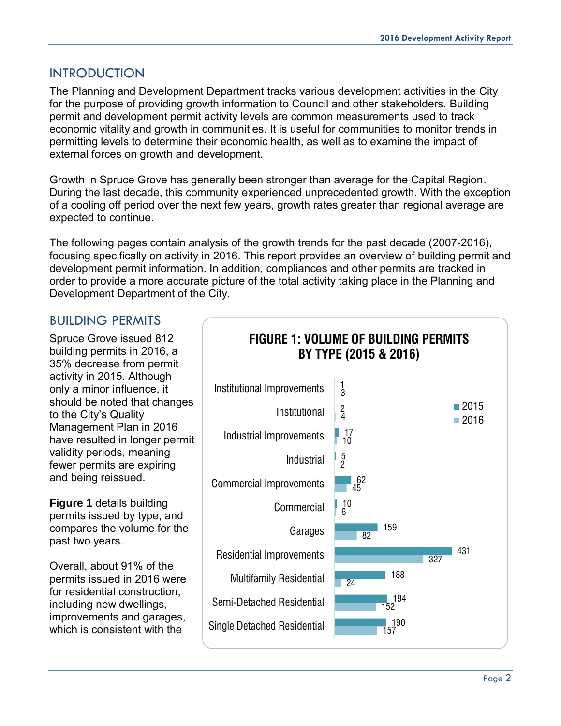#### INTRODUCTION

The Planning and Development Department tracks various development activities in the City for the purpose of providing growth information to Council and other stakeholders. Building permit and development permit activity levels are common measurements used to track economic vitality and growth in communities. It is useful for communities to monitor trends in permitting levels to determine their economic health, as well as to examine the impact of external forces on growth and development.

Growth in Spruce Grove has generally been stronger than average for the Capital Region. During the last decade, this community experienced unprecedented growth. With the exception of a cooling off period over the next few years, growth rates greater than regional average are expected to continue.

The following pages contain analysis of the growth trends for the past decade (2007-2016), focusing specifically on activity in 2016. This report provides an overview of building permit and development permit information. In addition, compliances and other permits are tracked in order to provide a more accurate picture of the total activity taking place in the Planning and Development Department of the City.

#### <span id="page-2-0"></span>BUILDING PERMITS

Spruce Grove issued 812 building permits in 2016, a 35% decrease from permit activity in 2015. Although only a minor influence, it should be noted that changes to the City's Quality Management Plan in 2016 have resulted in longer permit validity periods, meaning fewer permits are expiring and being reissued.

**Figure 1** details building permits issued by type, and compares the volume for the past two years.

Overall, about 91% of the permits issued in 2016 were for residential construction, including new dwellings, improvements and garages,

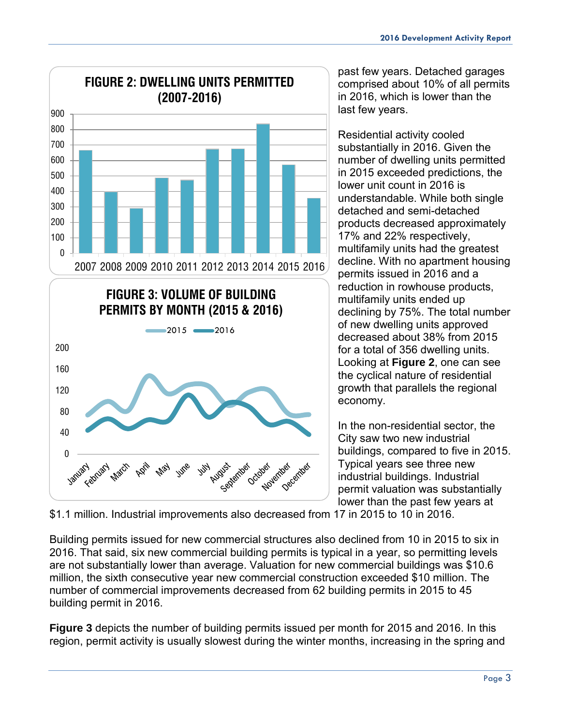

past few years. Detached garages comprised about 10% of all permits in 2016, which is lower than the last few years.

Residential activity cooled substantially in 2016. Given the number of dwelling units permitted in 2015 exceeded predictions, the lower unit count in 2016 is understandable. While both single detached and semi-detached products decreased approximately 17% and 22% respectively, multifamily units had the greatest decline. With no apartment housing permits issued in 2016 and a reduction in rowhouse products, multifamily units ended up declining by 75%. The total number of new dwelling units approved decreased about 38% from 2015 for a total of 356 dwelling units. Looking at **Figure 2**, one can see the cyclical nature of residential growth that parallels the regional economy.

In the non-residential sector, the City saw two new industrial buildings, compared to five in 2015. Typical years see three new industrial buildings. Industrial permit valuation was substantially lower than the past few years at

\$1.1 million. Industrial improvements also decreased from 17 in 2015 to 10 in 2016.

Building permits issued for new commercial structures also declined from 10 in 2015 to six in 2016. That said, six new commercial building permits is typical in a year, so permitting levels are not substantially lower than average. Valuation for new commercial buildings was \$10.6 million, the sixth consecutive year new commercial construction exceeded \$10 million. The number of commercial improvements decreased from 62 building permits in 2015 to 45 building permit in 2016.

**Figure 3** depicts the number of building permits issued per month for 2015 and 2016. In this region, permit activity is usually slowest during the winter months, increasing in the spring and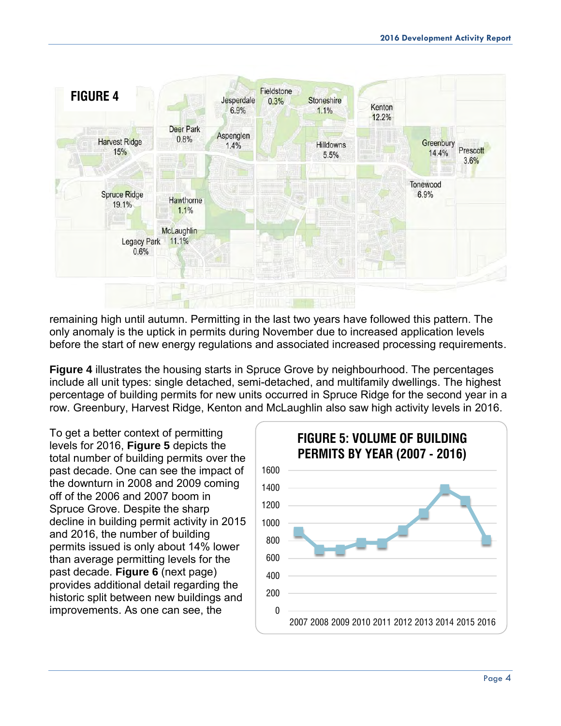

remaining high until autumn. Permitting in the last two years have followed this pattern. The only anomaly is the uptick in permits during November due to increased application levels before the start of new energy regulations and associated increased processing requirements.

**Figure 4** illustrates the housing starts in Spruce Grove by neighbourhood. The percentages include all unit types: single detached, semi-detached, and multifamily dwellings. The highest percentage of building permits for new units occurred in Spruce Ridge for the second year in a row. Greenbury, Harvest Ridge, Kenton and McLaughlin also saw high activity levels in 2016.

To get a better context of permitting levels for 2016, **Figure 5** depicts the total number of building permits over the past decade. One can see the impact of the downturn in 2008 and 2009 coming off of the 2006 and 2007 boom in Spruce Grove. Despite the sharp decline in building permit activity in 2015 and 2016, the number of building permits issued is only about 14% lower than average permitting levels for the past decade. **Figure 6** (next page) provides additional detail regarding the historic split between new buildings and improvements. As one can see, the

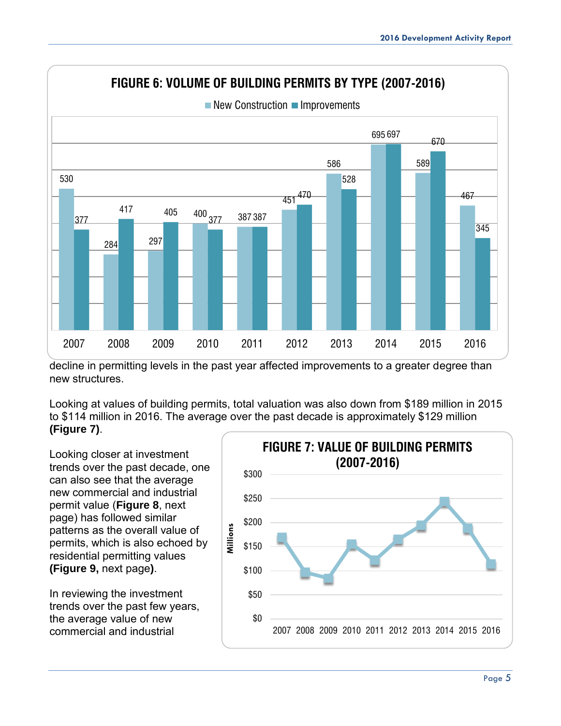

decline in permitting levels in the past year affected improvements to a greater degree than new structures.

Looking at values of building permits, total valuation was also down from \$189 million in 2015 to \$114 million in 2016. The average over the past decade is approximately \$129 million **(Figure 7)**.

Looking closer at investment trends over the past decade, one can also see that the average new commercial and industrial permit value (**Figure 8**, next page) has followed similar patterns as the overall value of permits, which is also echoed by residential permitting values **(Figure 9,** next page**)**.

In reviewing the investment trends over the past few years, the average value of new commercial and industrial

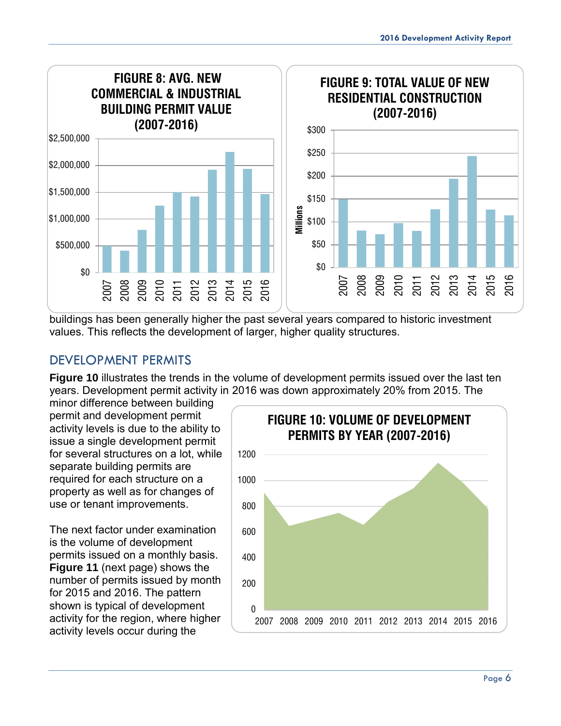

buildings has been generally higher the past several years compared to historic investment values. This reflects the development of larger, higher quality structures.

### <span id="page-6-0"></span>DEVELOPMENT PERMITS

**Figure 10** illustrates the trends in the volume of development permits issued over the last ten years. Development permit activity in 2016 was down approximately 20% from 2015. The

minor difference between building permit and development permit activity levels is due to the ability to issue a single development permit for several structures on a lot, while separate building permits are required for each structure on a property as well as for changes of use or tenant improvements.

The next factor under examination is the volume of development permits issued on a monthly basis. **Figure 11** (next page) shows the number of permits issued by month for 2015 and 2016. The pattern shown is typical of development activity for the region, where higher activity levels occur during the

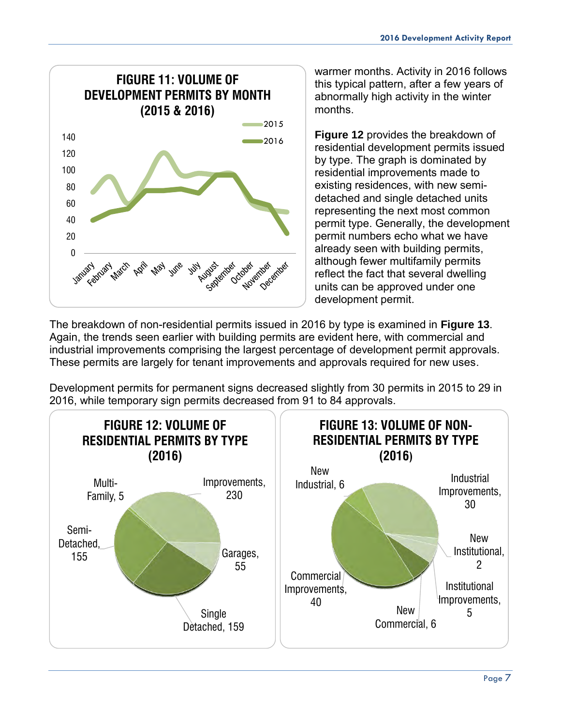

warmer months. Activity in 2016 follows this typical pattern, after a few years of abnormally high activity in the winter months.

**Figure 12** provides the breakdown of residential development permits issued by type. The graph is dominated by residential improvements made to existing residences, with new semidetached and single detached units representing the next most common permit type. Generally, the development permit numbers echo what we have already seen with building permits, although fewer multifamily permits reflect the fact that several dwelling units can be approved under one development permit.

The breakdown of non-residential permits issued in 2016 by type is examined in **Figure 13**. Again, the trends seen earlier with building permits are evident here, with commercial and industrial improvements comprising the largest percentage of development permit approvals. These permits are largely for tenant improvements and approvals required for new uses.

Development permits for permanent signs decreased slightly from 30 permits in 2015 to 29 in 2016, while temporary sign permits decreased from 91 to 84 approvals.

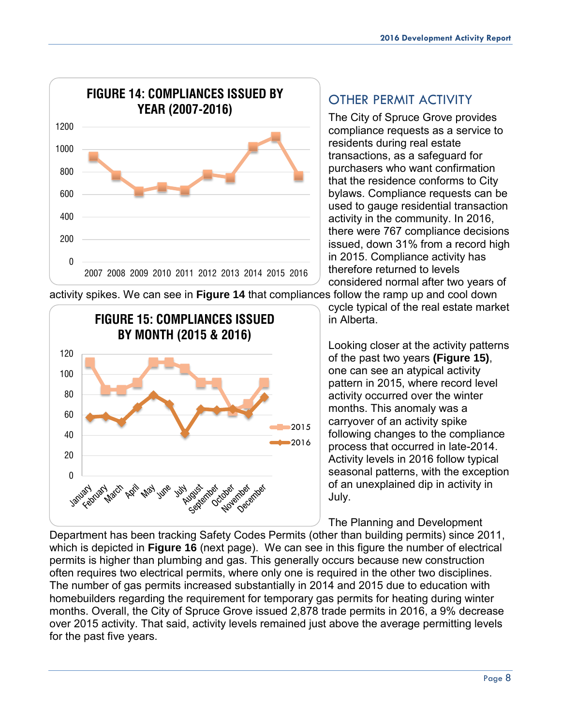<span id="page-8-0"></span>OTHER PERMIT ACTIVITY

The City of Spruce Grove provides compliance requests as a service to residents during real estate transactions, as a safeguard for purchasers who want confirmation that the residence conforms to City bylaws. Compliance requests can be used to gauge residential transaction activity in the community. In 2016, there were 767 compliance decisions issued, down 31% from a record high in 2015. Compliance activity has therefore returned to levels considered normal after two years of

cycle typical of the real estate market

Looking closer at the activity patterns of the past two years **(Figure 15)**, one can see an atypical activity pattern in 2015, where record level activity occurred over the winter months. This anomaly was a carryover of an activity spike

following changes to the compliance process that occurred in late-2014. Activity levels in 2016 follow typical seasonal patterns, with the exception of an unexplained dip in activity in

in Alberta.

activity spikes. We can see in **Figure 14** that compliances follow the ramp up and cool down

July. The Planning and Development Department has been tracking Safety Codes Permits (other than building permits) since 2011, which is depicted in **Figure 16** (next page). We can see in this figure the number of electrical permits is higher than plumbing and gas. This generally occurs because new construction often requires two electrical permits, where only one is required in the other two disciplines. The number of gas permits increased substantially in 2014 and 2015 due to education with homebuilders regarding the requirement for temporary gas permits for heating during winter months. Overall, the City of Spruce Grove issued 2,878 trade permits in 2016, a 9% decrease over 2015 activity. That said, activity levels remained just above the average permitting levels



for the past five years.

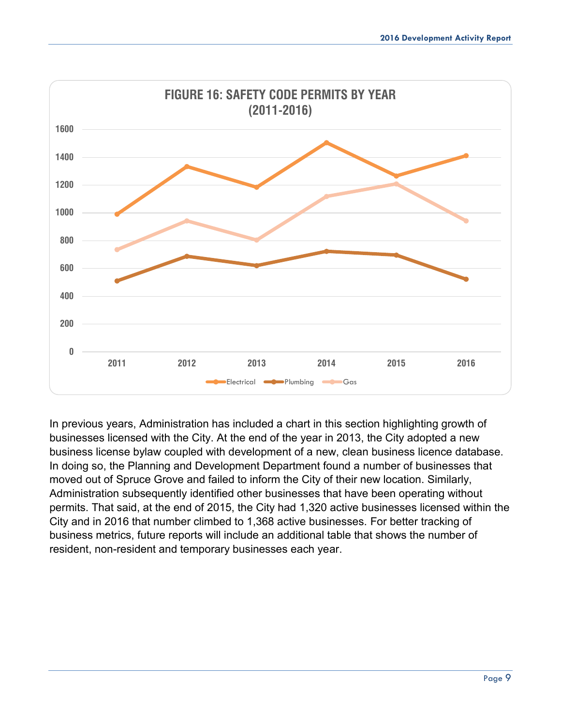

In previous years, Administration has included a chart in this section highlighting growth of businesses licensed with the City. At the end of the year in 2013, the City adopted a new business license bylaw coupled with development of a new, clean business licence database. In doing so, the Planning and Development Department found a number of businesses that moved out of Spruce Grove and failed to inform the City of their new location. Similarly, Administration subsequently identified other businesses that have been operating without permits. That said, at the end of 2015, the City had 1,320 active businesses licensed within the City and in 2016 that number climbed to 1,368 active businesses. For better tracking of business metrics, future reports will include an additional table that shows the number of resident, non-resident and temporary businesses each year.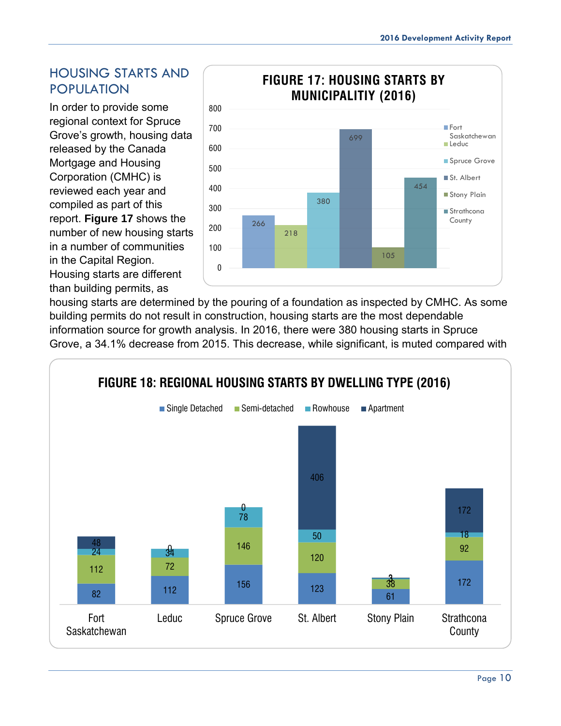### <span id="page-10-0"></span>HOUSING STARTS AND POPULATION

In order to provide some regional context for Spruce Grove's growth, housing data released by the Canada Mortgage and Housing Corporation (CMHC) is reviewed each year and compiled as part of this report. **Figure 17** shows the number of new housing starts in a number of communities in the Capital Region.

Housing starts are different than building permits, as



housing starts are determined by the pouring of a foundation as inspected by CMHC. As some building permits do not result in construction, housing starts are the most dependable information source for growth analysis. In 2016, there were 380 housing starts in Spruce Grove, a 34.1% decrease from 2015. This decrease, while significant, is muted compared with